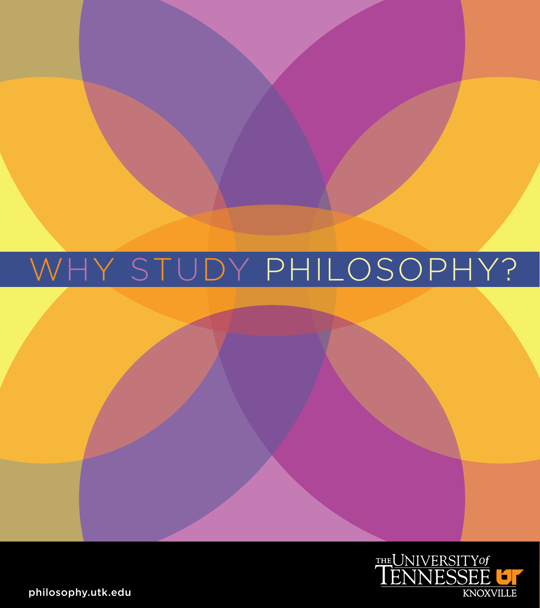## why study philosophy?



philosophy.utk.edu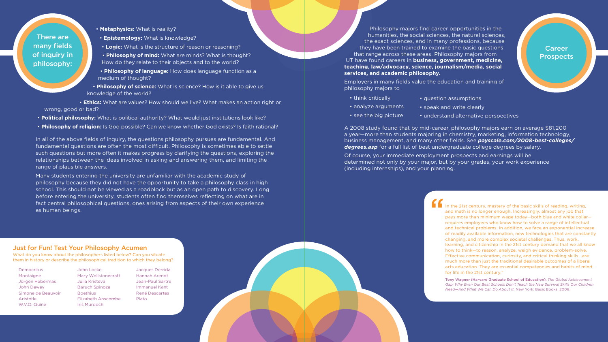Philosophy majors find career opportunities in the humanities, the social sciences, the natural sciences, the exact sciences, and in many professions, because they have been trained to examine the basic questions that range across these areas. Philosophy majors from UT have found careers in **business, government, medicine, teaching, law/advocacy, science, journalism/media, social services, and academic philosophy.**

Employers in many fields value the education and training of philosophy majors to

• **Metaphysics:** What is reality?

- **Epistemology:** What is knowledge?
- **Logic:** What is the structure of reason or reasoning?
- **Philosophy of mind:** What are minds? What is thought? How do they relate to their objects and to the world?
- **Philosophy of language:** How does language function as a medium of thought?
- **Philosophy of science:** What is science? How is it able to give us knowledge of the world?
- **Ethics:** What are values? How should we live? What makes an action right or wrong, good or bad?
- **Political philosophy:** What is political authority? What would just institutions look like?
- **Philosophy of religion:** Is God possible? Can we know whether God exists? Is faith rational?

In all of the above fields of inquiry, the questions philosophy pursues are fundamental. And fundamental questions are often the most difficult. Philosophy is sometimes able to settle such questions but more often it makes progress by clarifying the questions, exploring the relationships between the ideas involved in asking and answering them, and limiting the range of plausible answers.

Many students entering the university are unfamiliar with the academic study of philosophy because they did not have the opportunity to take a philosophy class in high school. This should not be viewed as a roadblock but as an open path to discovery. Long before entering the university, students often find themselves reflecting on what are in fact central philosophical questions, ones arising from aspects of their own experience as human beings.

In the 21st century, mastery of the basic skills of reading, writing, and math is no longer enough. Increasingly, almost any job that pays more than minimum wage today—both blue and white collar requires employees who know how to solve a range of intellectual and technical problems. In addition, we face an exponential increase of readily available information, new technologies that are constantly changing, and more complex societal challenges. Thus, work, learning, and citizenship in the 21st century demand that we all know how to think—to reason, analyze, weigh evidence, problem-solve. Effective communication, curiosity, and critical thinking skills...are much more than just the traditional desirable outcomes of a liberal arts education. They are essential competencies and habits of mind for life in the 21st century."

A 2008 study found that by mid-career, philosophy majors earn on average \$81,200 a year—more than students majoring in chemistry, marketing, information technology, business management, and many other fields. See *payscale.com/2008-best-colleges/ degrees.asp* for a full list of best undergraduate college degrees by salary.

- think critically • question assumptions
- analyze arguments
- speak and write clearly
- see the big picture
- understand alternative perspectives

Of course, your immediate employment prospects and earnings will be determined not only by your major, but by your grades, your work experience (including internships), and your planning.

There are many fields of inquiry in philosophy:

Career Prospects

## Just for Fun! Test Your Philosophy Acumen

What do you know about the philosophers listed below? Can you situate them in history or describe the philosophical tradition to which they belong?

Democritus Montaigne Jürgen Habermas John Dewey Simone de Beauvoir Aristotle W.V.O. Quine

John Locke Mary Wollstonecraft Julia Kristeva Baruch Spinoza Boethius Elizabeth Anscombe Iris Murdoch

Jacques Derrida Hannah Arendt Jean-Paul Sartre Immanuel Kant René Descartes Plato



Tony Wagner (Harvard Graduate School of Education), *The Global Achievement Gap: Why Even Our Best Schools Don't Teach the New Survival Skills Our Children Need—And What We Can Do About It.* New York: Basic Books, 2008.